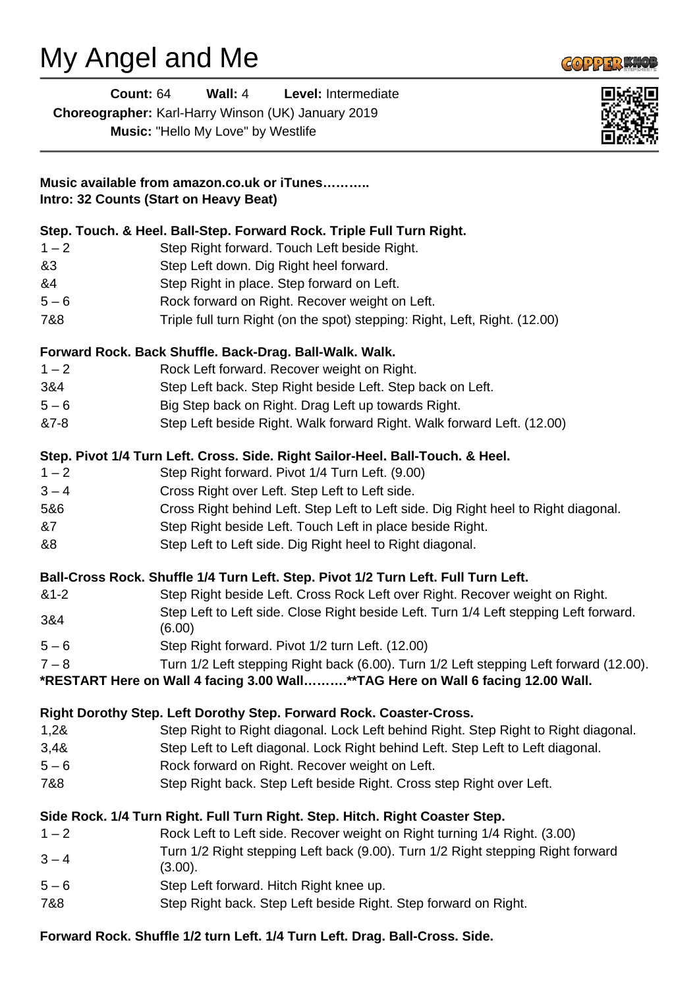# My Angel and Me

**Count:** 64 **Wall:** 4 **Level:** Intermediate

|          | <b>Count: 64</b> | Wall: 4                                | Level: Intermediate                                                                   |                                                                                        |
|----------|------------------|----------------------------------------|---------------------------------------------------------------------------------------|----------------------------------------------------------------------------------------|
|          |                  |                                        | Choreographer: Karl-Harry Winson (UK) January 2019                                    |                                                                                        |
|          |                  | Music: "Hello My Love" by Westlife     |                                                                                       |                                                                                        |
|          |                  |                                        | Music available from amazon.co.uk or iTunes                                           |                                                                                        |
|          |                  | Intro: 32 Counts (Start on Heavy Beat) |                                                                                       |                                                                                        |
|          |                  |                                        | Step. Touch. & Heel. Ball-Step. Forward Rock. Triple Full Turn Right.                 |                                                                                        |
| $1 - 2$  |                  |                                        | Step Right forward. Touch Left beside Right.                                          |                                                                                        |
| &3       |                  |                                        | Step Left down. Dig Right heel forward.                                               |                                                                                        |
| &4       |                  |                                        | Step Right in place. Step forward on Left.                                            |                                                                                        |
| $5 - 6$  |                  |                                        | Rock forward on Right. Recover weight on Left.                                        |                                                                                        |
| 7&8      |                  |                                        | Triple full turn Right (on the spot) stepping: Right, Left, Right. (12.00)            |                                                                                        |
|          |                  |                                        | Forward Rock. Back Shuffle. Back-Drag. Ball-Walk. Walk.                               |                                                                                        |
| $1 - 2$  |                  |                                        | Rock Left forward. Recover weight on Right.                                           |                                                                                        |
| 3&4      |                  |                                        | Step Left back. Step Right beside Left. Step back on Left.                            |                                                                                        |
| $5 - 6$  |                  |                                        | Big Step back on Right. Drag Left up towards Right.                                   |                                                                                        |
| &7-8     |                  |                                        | Step Left beside Right. Walk forward Right. Walk forward Left. (12.00)                |                                                                                        |
|          |                  |                                        | Step. Pivot 1/4 Turn Left. Cross. Side. Right Sailor-Heel. Ball-Touch. & Heel.        |                                                                                        |
| $1 - 2$  |                  |                                        | Step Right forward. Pivot 1/4 Turn Left. (9.00)                                       |                                                                                        |
| $3 - 4$  |                  |                                        | Cross Right over Left. Step Left to Left side.                                        |                                                                                        |
| 5&6      |                  |                                        | Cross Right behind Left. Step Left to Left side. Dig Right heel to Right diagonal.    |                                                                                        |
| &7       |                  |                                        | Step Right beside Left. Touch Left in place beside Right.                             |                                                                                        |
| &8       |                  |                                        | Step Left to Left side. Dig Right heel to Right diagonal.                             |                                                                                        |
|          |                  |                                        | Ball-Cross Rock. Shuffle 1/4 Turn Left. Step. Pivot 1/2 Turn Left. Full Turn Left.    |                                                                                        |
| $&1 - 2$ |                  |                                        | Step Right beside Left. Cross Rock Left over Right. Recover weight on Right.          |                                                                                        |
| 3&4      | (6.00)           |                                        | Step Left to Left side. Close Right beside Left. Turn 1/4 Left stepping Left forward. |                                                                                        |
| $5 - 6$  |                  |                                        | Step Right forward. Pivot 1/2 turn Left. (12.00)                                      |                                                                                        |
| $7 - 8$  |                  |                                        |                                                                                       | Turn 1/2 Left stepping Right back (6.00). Turn 1/2 Left stepping Left forward (12.00). |
|          |                  |                                        | *RESTART Here on Wall 4 facing 3.00 Wall**TAG Here on Wall 6 facing 12.00 Wall.       |                                                                                        |
|          |                  |                                        | Right Dorothy Step. Left Dorothy Step. Forward Rock. Coaster-Cross.                   |                                                                                        |
| 1,28     |                  |                                        |                                                                                       | Step Right to Right diagonal. Lock Left behind Right. Step Right to Right diagonal.    |
| 3,48     |                  |                                        | Step Left to Left diagonal. Lock Right behind Left. Step Left to Left diagonal.       |                                                                                        |
| $5 - 6$  |                  |                                        | Rock forward on Right. Recover weight on Left.                                        |                                                                                        |
| 7&8      |                  |                                        | Step Right back. Step Left beside Right. Cross step Right over Left.                  |                                                                                        |
|          |                  |                                        | Side Rock. 1/4 Turn Right. Full Turn Right. Step. Hitch. Right Coaster Step.          |                                                                                        |
| $1 - 2$  |                  |                                        | Rock Left to Left side. Recover weight on Right turning 1/4 Right. (3.00)             |                                                                                        |
| $3 - 4$  | (3.00).          |                                        | Turn 1/2 Right stepping Left back (9.00). Turn 1/2 Right stepping Right forward       |                                                                                        |
| $5 - 6$  |                  |                                        | Step Left forward. Hitch Right knee up.                                               |                                                                                        |
| 7&8      |                  |                                        | Step Right back. Step Left beside Right. Step forward on Right.                       |                                                                                        |
|          |                  |                                        | Forward Rock. Shuffle 1/2 turn Left. 1/4 Turn Left. Drag. Ball-Cross. Side.           |                                                                                        |